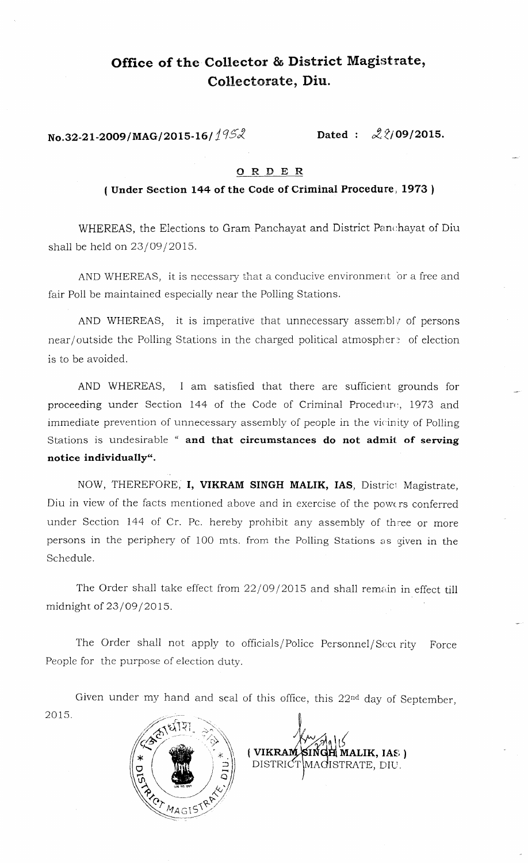## Office of the Collector & District Magistrate, Collectorate, Diu.

**No.32-21-2009/MAG/2015-16/ 1952 <b>Dated** :  $\mathcal{Q}$  2/09/2015.

## G R D E R

## ( Under Section 144 of the Code of Criminal Procedure, 1973 )

WHEREAS, the Elections to Gram Panchayat and District Panchayat of Diu shall be held on 23/09/2015.

AND WHEREAS, it is necessary that a conducive environment or a free and fair Poll be maintained especially near the Polling Stations.

AND WHEREAS, it is imperative that unnecessary assembly of persons near/outside the Polling Stations in the charged political atmosphere of election is to be avoided.

AND WHEREAS, I am satisfied that there are sufficient grounds for proceeding under Section 144 of the Code of Criminal Procedure, 1973 and immediate prevention of unnecessary assembly of people in the vicinity of Polling Stations is undesirable " **and that circumstances do not admit of serving notice individually".**

NOW, THEREFORE, **I, VIKRAM SINGH MALIK, IAS**, District Magistrate, Diu in view of the facts mentioned above and in exercise of the powers conferred under Section 144 of Cr. Pc. hereby prohibit any assembly of three or more persons in the periphery of 100 mts. from the Polling Stations as given in the Schedule.

The Order shall take effect from 22/09/2015 and shall remain in effect till midnight of 23/09/2015.

The Order shall not apply to officials/ Police Personnel/Sect rity Force People for the purpose of election duty.

Given under my hand and seal of this office, this 22nd day of September, 2015.



r **( ( VIKRAM SINGH MALIK, IAS. )**<br>DISTRICT MAGISTRATE. DIU. MAGISTRATE, DIU.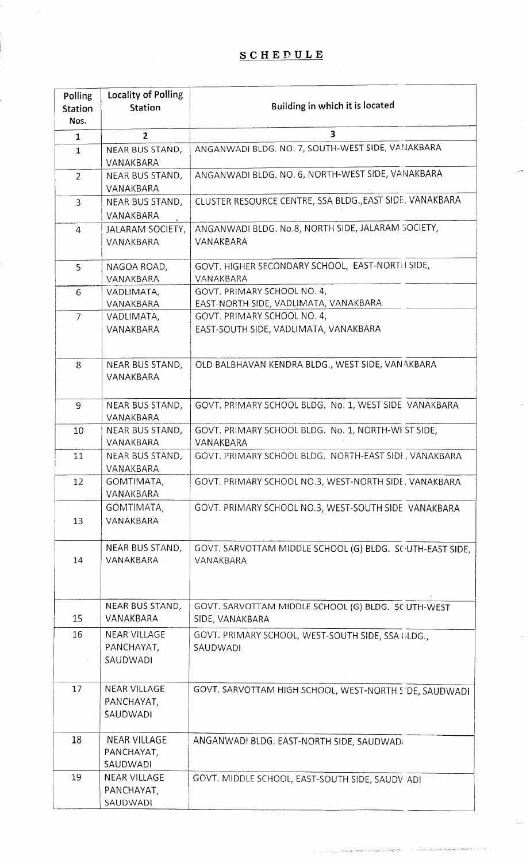| Polling<br><b>Station</b> | <b>Locality of Polling</b><br><b>Station</b>  | Building in which it is located                                        |
|---------------------------|-----------------------------------------------|------------------------------------------------------------------------|
| Nos.                      |                                               |                                                                        |
| $\mathbf{1}$              | $\mathbf{2}$                                  | 3                                                                      |
| $\mathbf{1}$              | NEAR BUS STAND,<br>VANAKBARA                  | ANGANWADI BLDG. NO. 7, SOUTH-WEST SIDE, VANAKBARA                      |
| $\overline{2}$            | NEAR BUS STAND,<br>VANAKBARA                  | ANGANWADI BLDG. NO. 6, NORTH-WEST SIDE, VANAKBARA                      |
| $\overline{3}$            | <b>NEAR BUS STAND,</b><br>VANAKBARA           | CLUSTER RESOURCE CENTRE, SSA BLDG., EAST SIDE, VANAKBARA               |
|                           |                                               | ANGANWADI BLDG. No.8, NORTH SIDE, JALARAM SOCIETY,                     |
| $\overline{4}$            | JALARAM SOCIETY,<br>VANAKBARA                 | VANAKBARA                                                              |
| 5                         | NAGOA ROAD,<br>VANAKBARA                      | GOVT. HIGHER SECONDARY SCHOOL, EAST-NORTH SIDE,<br>VANAKBARA           |
| 6                         | VADLIMATA,<br>VANAKBARA                       | GOVT. PRIMARY SCHOOL NO. 4,<br>EAST-NORTH SIDE, VADLIMATA, VANAKBARA   |
| $\overline{7}$            | VADLIMATA,                                    | GOVT. PRIMARY SCHOOL NO. 4,                                            |
|                           | VANAKBARA                                     | EAST-SOUTH SIDE, VADLIMATA, VANAKBARA                                  |
| 8                         | NEAR BUS STAND,<br>VANAKBARA                  | OLD BALBHAVAN KENDRA BLDG., WEST SIDE, VAN AKBARA                      |
| 9                         | NEAR BUS STAND,<br>VANAKBARA                  | GOVT. PRIMARY SCHOOL BLDG. No. 1, WEST SIDE VANAKBARA                  |
| 10                        | NEAR BUS STAND,<br>VANAKBARA                  | GOVT. PRIMARY SCHOOL BLDG. No. 1, NORTH-WEST SIDE,<br>VANAKBARA        |
| 11                        | NEAR BUS STAND,<br>VANAKBARA                  | GOVT. PRIMARY SCHOOL BLDG. NORTH-EAST SIDI, VANAKBARA                  |
| 12                        | GOMTIMATA,<br>VANAKBARA                       | GOVT. PRIMARY SCHOOL NO.3, WEST-NORTH SIDE, VANAKBARA                  |
|                           | GOMTIMATA,                                    | GOVT. PRIMARY SCHOOL NO.3, WEST-SOUTH SIDE VANAKBARA                   |
| 13                        | VANAKBARA                                     |                                                                        |
| 14                        | NEAR BUS STAND,<br>VANAKBARA                  | GOVT. SARVOTTAM MIDDLE SCHOOL (G) BLDG. SCUTH-EAST SIDE,<br>VANAKBARA  |
| 15                        | NEAR BUS STAND,<br>VANAKBARA                  | GOVT. SARVOTTAM MIDDLE SCHOOL (G) BLDG. SC UTH-WEST<br>SIDE, VANAKBARA |
| 16                        | <b>NEAR VILLAGE</b><br>PANCHAYAT,<br>SAUDWADI | GOVT. PRIMARY SCHOOL, WEST-SOUTH SIDE, SSA BLDG.,<br>SAUDWADI          |
|                           |                                               |                                                                        |
| 17                        | <b>NEAR VILLAGE</b><br>PANCHAYAT,<br>SAUDWADI | GOVT. SARVOTTAM HIGH SCHOOL, WEST-NORTH SIDE, SAUDWADI                 |
| 18                        | <b>NEAR VILLAGE</b><br>PANCHAYAT,<br>SAUDWADI | ANGANWADI BLDG. EAST-NORTH SIDE, SAUDWADI                              |
| 19                        | <b>NEAR VILLAGE</b><br>PANCHAYAT,<br>SAUDWADI | GOVT. MIDDLE SCHOOL, EAST-SOUTH SIDE, SAUDV ADI                        |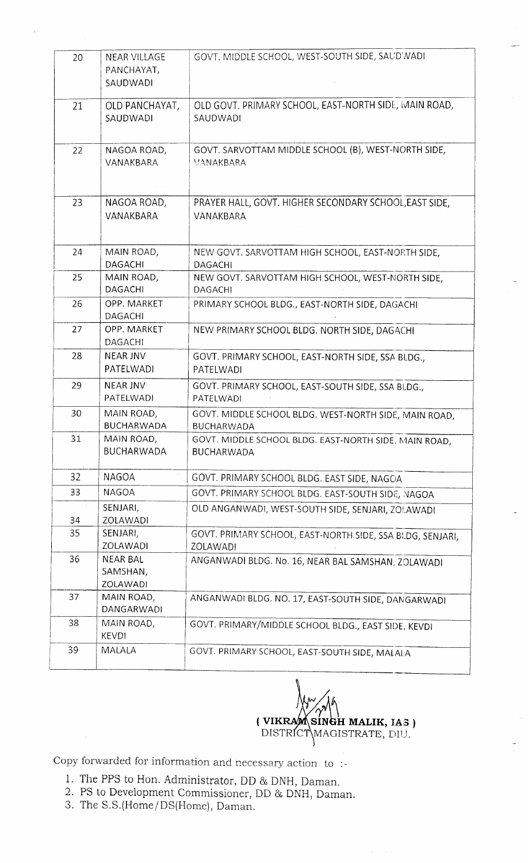| 20       | <b>NEAR VILLAGE</b><br>PANCHAYAT,<br>SAUDWADI | GOVT. MIDDLE SCHOOL, WEST-SOUTH SIDE, SAUD WADI                            |
|----------|-----------------------------------------------|----------------------------------------------------------------------------|
| 21       | OLD PANCHAYAT,<br>SAUDWADI                    | OLD GOVT. PRIMARY SCHOOL, EAST-NORTH SIDE, MAIN ROAD,<br>SAUDWADI          |
| 22       | NAGOA ROAD,<br>VANAKBARA                      | GOVT. SARVOTTAM MIDDLE SCHOOL (B), WEST-NORTH SIDE,<br>VANAKBARA           |
| 23       | NAGOA ROAD,<br>VANAKBARA                      | PRAYER HALL, GOVT. HIGHER SECONDARY SCHOOL, EAST SIDE,<br>VANAKBARA        |
| 24       | MAIN ROAD,<br><b>DAGACHI</b>                  | NEW GOVT. SARVOTTAM HIGH SCHOOL, EAST-NORTH SIDE,<br><b>DAGACHI</b>        |
| 25       | MAIN ROAD,<br><b>DAGACHI</b>                  | NEW GOVT. SARVOTTAM HIGH SCHOOL, WEST-NORTH SIDE,<br><b>DAGACHI</b>        |
| 26       | OPP. MARKET<br>DAGACHI                        | PRIMARY SCHOOL BLDG., EAST-NORTH SIDE, DAGACHI                             |
| 27       | OPP. MARKET<br><b>DAGACHI</b>                 | NEW PRIMARY SCHOOL BLDG. NORTH SIDE, DAGACHI                               |
| 28       | <b>NEAR JNV</b><br>PATELWADI                  | GOVT. PRIMARY SCHOOL, EAST-NORTH SIDE, SSA BLDG.,<br>PATELWADI             |
| 29       | <b>NEAR JNV</b><br>PATELWADI                  | GOVT. PRIMARY SCHOOL, EAST-SOUTH SIDE, SSA BLDG.,<br>PATELWADI             |
| 30       | MAIN ROAD,<br><b>BUCHARWADA</b>               | GOVT. MIDDLE SCHOOL BLDG. WEST-NORTH SIDE, MAIN ROAD,<br><b>BUCHARWADA</b> |
| 31       | MAIN ROAD,<br><b>BUCHARWADA</b>               | GOVT. MIDDLE SCHOOL BLDG. EAST-NORTH SIDE, MAIN ROAD,<br><b>BUCHARWADA</b> |
| 32       | <b>NAGOA</b>                                  | GOVT. PRIMARY SCHOOL BLDG. EAST SIDE, NAGOA                                |
| 33       | <b>NAGOA</b>                                  | GOVT. PRIMARY SCHOOL BLDG. EAST-SOUTH SIDE, NAGOA                          |
|          | SENJARI,                                      | OLD ANGANWADI, WEST-SOUTH SIDE, SENJARI, ZOLAWADI                          |
| 34<br>35 | ZOLAWADI<br>SENJARI,                          |                                                                            |
|          | ZOLAWADI                                      | GOVT. PRIMARY SCHOOL, EAST-NORTH SIDE, SSA BLDG, SENJARI,<br>ZOLAWADI      |
| 36       | <b>NEAR BAL</b><br>SAMSHAN,<br>ZOLAWADI       | ANGANWADI BLDG. No. 16, NEAR BAL SAMSHAN, ZOLAWADI                         |
| 37       | MAIN ROAD,<br>DANGARWADI                      | ANGANWADI BLDG. NO. 17, EAST-SOUTH SIDE, DANGARWADI                        |
| 38       | MAIN ROAD,<br><b>KEVDI</b>                    | GOVT. PRIMARY/MIDDLE SCHOOL BLDG., EAST SIDE, KEVDI                        |
| 39       | MALALA                                        | GOVT. PRIMARY SCHOOL, EAST-SOUTH SIDE, MALALA                              |

 $\frac{1}{2}$ **(VIK SIN H MALIK, IAS )** DISTRICT\MAGISTRATE, DIU

Copy forwarded for information and necessary action to :-

- 1. The PPS to Hon. Administrator, DD & DNH, Daman.
- 2. PS to Development Commissioner, DD & DNH, Daman.
- 3. The S.S.(Home/DS(Home), Daman.